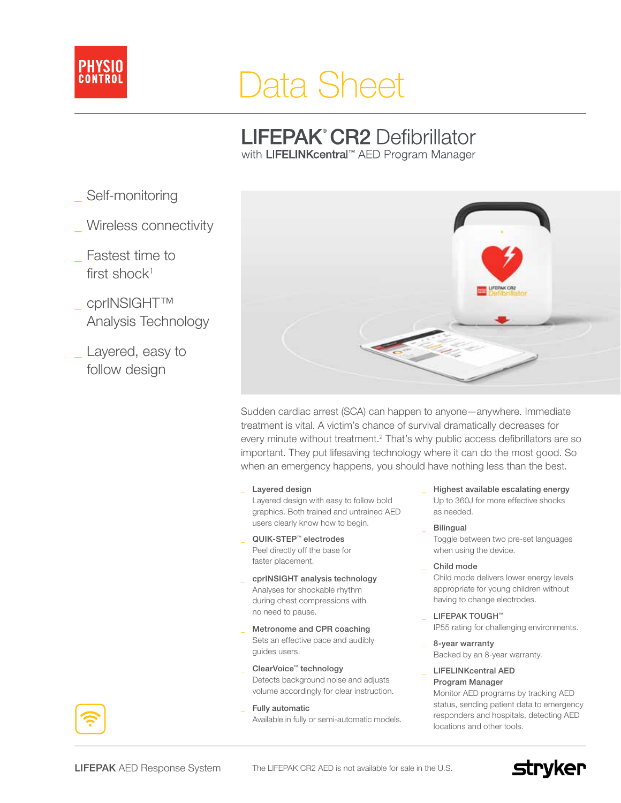

# Data Sheet

# **LIFEPAK° CR2 Defibrillator**

with LIFELINKcentral™ AED Program Manager

- Self-monitoring
- \_ Wireless connectivity
- Fastest time to first shock $1$
- cprINSIGHT™ Analysis Technology
- \_ Layered, easy to follow design



Sudden cardiac arrest (SCA) can happen to anyone—anywhere. Immediate treatment is vital. A victim's chance of survival dramatically decreases for every minute without treatment.<sup>2</sup> That's why public access defibrillators are so important. They put lifesaving technology where it can do the most good. So when an emergency happens, you should have nothing less than the best.

Layered design

Layered design with easy to follow bold graphics. Both trained and untrained AED users clearly know how to begin.

- QUIK-STEP™ electrodes Peel directly off the base for faster placement.
- cprINSIGHT analysis technology Analyses for shockable rhythm during chest compressions with no need to pause.
- Metronome and CPR coaching Sets an effective pace and audibly guides users.
- ClearVoice™ technology Detects background noise and adjusts volume accordingly for clear instruction.
- Fully automatic Available in fully or semi-automatic models.
- Highest available escalating energy Up to 360J for more effective shocks as needed.
- **Bilingual**

Toggle between two pre-set languages when using the device.

\_ Child mode

Child mode delivers lower energy levels appropriate for young children without having to change electrodes.

- LIFEPAK TOUGH™ IP55 rating for challenging environments.
- \_ 8-year warranty Backed by an 8-year warranty.

LIFELINKcentral AED Program Manager Monitor AED programs by tracking AED status, sending patient data to emergency responders and hospitals, detecting AED locations and other tools.